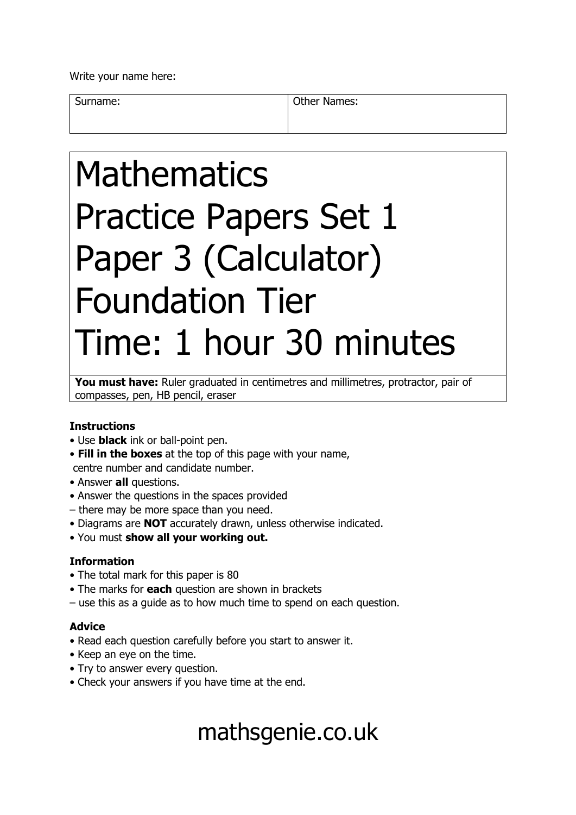Write your name here:

Surname: **Other Names: Other Names:** 

# Mathematics Practice Papers Set 1 Paper 3 (Calculator) Foundation Tier Time: 1 hour 30 minutes

You must have: Ruler graduated in centimetres and millimetres, protractor, pair of compasses, pen, HB pencil, eraser

### **Instructions**

- Use **black** ink or ball-point pen.
- **Fill in the boxes** at the top of this page with your name, centre number and candidate number.
- Answer **all** questions.
- Answer the questions in the spaces provided
- there may be more space than you need.
- Diagrams are **NOT** accurately drawn, unless otherwise indicated.
- You must **show all your working out.**

### **Information**

- The total mark for this paper is 80
- The marks for **each** question are shown in brackets
- use this as a guide as to how much time to spend on each question.

### **Advice**

- Read each question carefully before you start to answer it.
- Keep an eye on the time.
- Try to answer every question.
- Check your answers if you have time at the end.

# mathsgenie.co.uk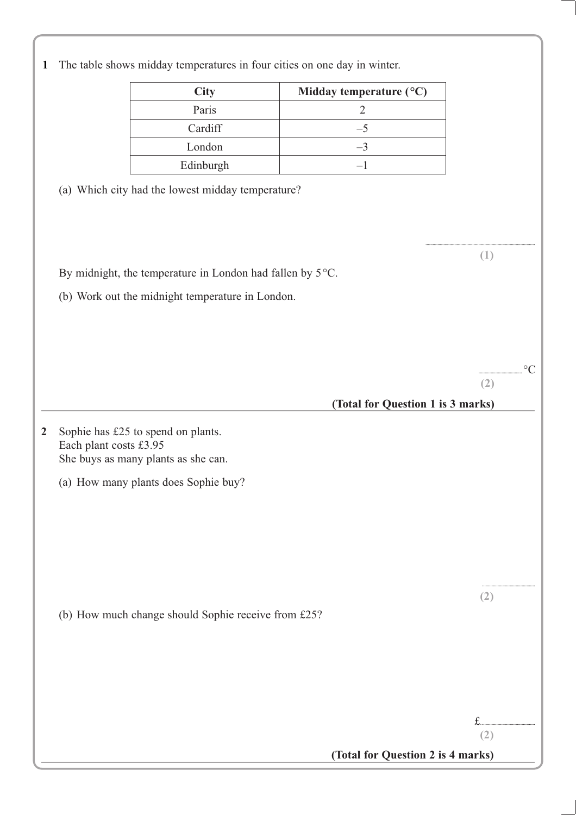|                        | <b>City</b>                                               | Midday temperature (°C)           |     |
|------------------------|-----------------------------------------------------------|-----------------------------------|-----|
|                        | Paris                                                     | $\sqrt{2}$                        |     |
|                        | Cardiff                                                   | $-5$                              |     |
|                        | London                                                    | $-3$                              |     |
|                        | Edinburgh                                                 | $-1$                              |     |
|                        | (a) Which city had the lowest midday temperature?         |                                   |     |
|                        |                                                           |                                   |     |
|                        |                                                           |                                   |     |
|                        |                                                           |                                   |     |
|                        |                                                           |                                   | (1) |
|                        | By midnight, the temperature in London had fallen by 5°C. |                                   |     |
|                        | (b) Work out the midnight temperature in London.          |                                   |     |
|                        |                                                           |                                   |     |
|                        |                                                           |                                   |     |
|                        |                                                           |                                   |     |
|                        |                                                           |                                   |     |
|                        |                                                           |                                   | (2) |
|                        |                                                           | (Total for Question 1 is 3 marks) |     |
|                        |                                                           |                                   |     |
|                        | Sophie has £25 to spend on plants.                        |                                   |     |
| Each plant costs £3.95 |                                                           |                                   |     |
|                        | She buys as many plants as she can.                       |                                   |     |
|                        | (a) How many plants does Sophie buy?                      |                                   |     |
|                        |                                                           |                                   |     |
|                        |                                                           |                                   |     |
|                        |                                                           |                                   |     |
|                        |                                                           |                                   |     |
|                        |                                                           |                                   |     |
|                        |                                                           |                                   |     |
|                        |                                                           |                                   |     |
|                        |                                                           |                                   | (2) |
|                        | (b) How much change should Sophie receive from £25?       |                                   |     |
|                        |                                                           |                                   |     |
|                        |                                                           |                                   |     |
|                        |                                                           |                                   |     |
|                        |                                                           |                                   |     |
|                        |                                                           |                                   |     |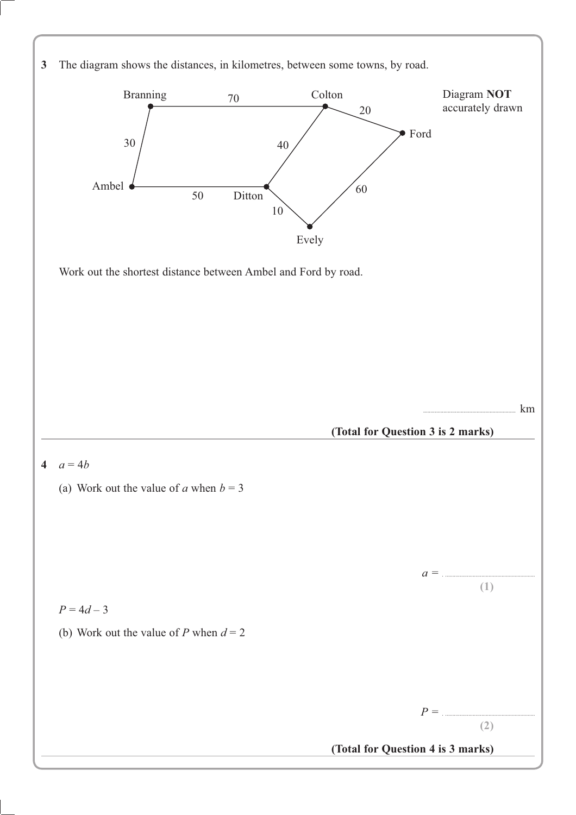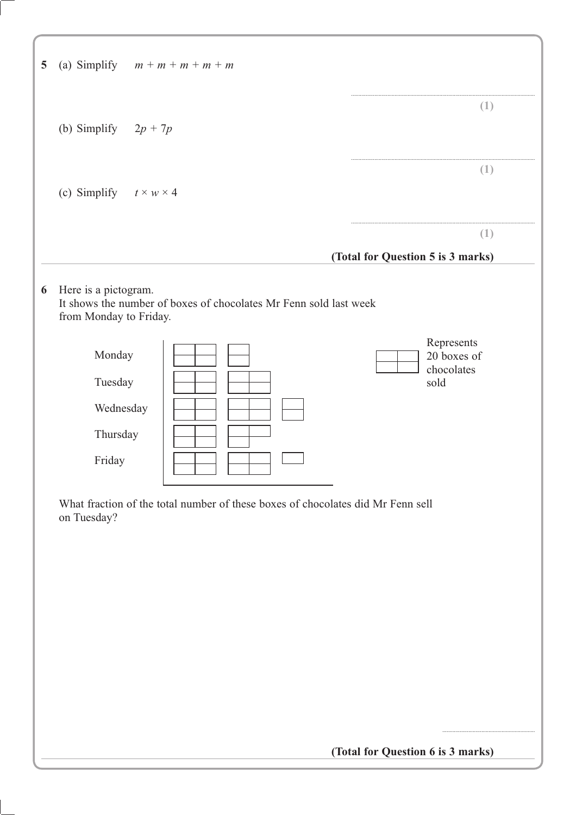| (a) Simplify $m + m + m + m + m$<br>5                |                                                                                 |                                                 |
|------------------------------------------------------|---------------------------------------------------------------------------------|-------------------------------------------------|
| (b) Simplify $2p + 7p$                               |                                                                                 | (1)                                             |
| (c) Simplify $t \times w \times 4$                   |                                                                                 | (1)                                             |
|                                                      |                                                                                 | (1)<br>(Total for Question 5 is 3 marks)        |
| Here is a pictogram.<br>6<br>from Monday to Friday.  | It shows the number of boxes of chocolates Mr Fenn sold last week               |                                                 |
| Monday<br>Tuesday<br>Wednesday<br>Thursday<br>Friday |                                                                                 | Represents<br>20 boxes of<br>chocolates<br>sold |
| on Tuesday?                                          | What fraction of the total number of these boxes of chocolates did Mr Fenn sell |                                                 |
|                                                      |                                                                                 |                                                 |
|                                                      |                                                                                 |                                                 |

**(Total for Question 6 is 3 marks)**

................................................................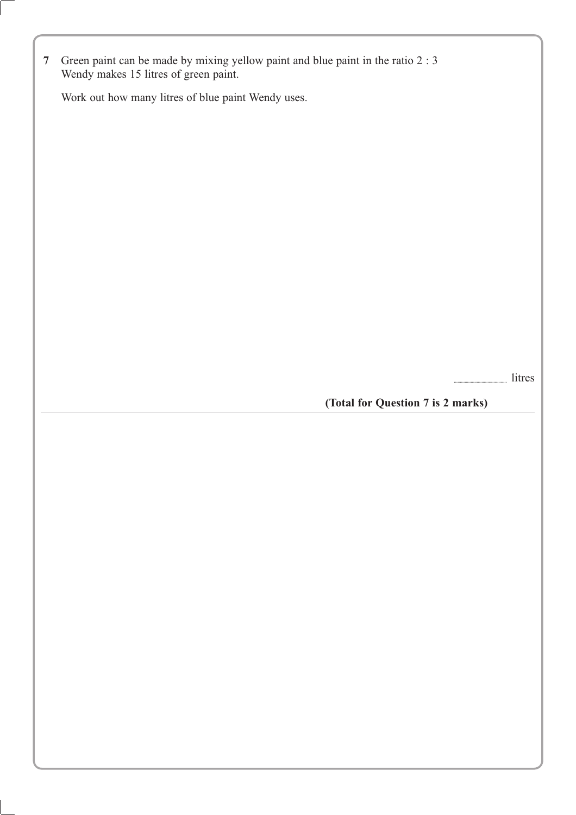**7** Green paint can be made by mixing yellow paint and blue paint in the ratio 2 : 3 Wendy makes 15 litres of green paint.

Work out how many litres of blue paint Wendy uses.

............................................ litres

**(Total for Question 7 is 2 marks)**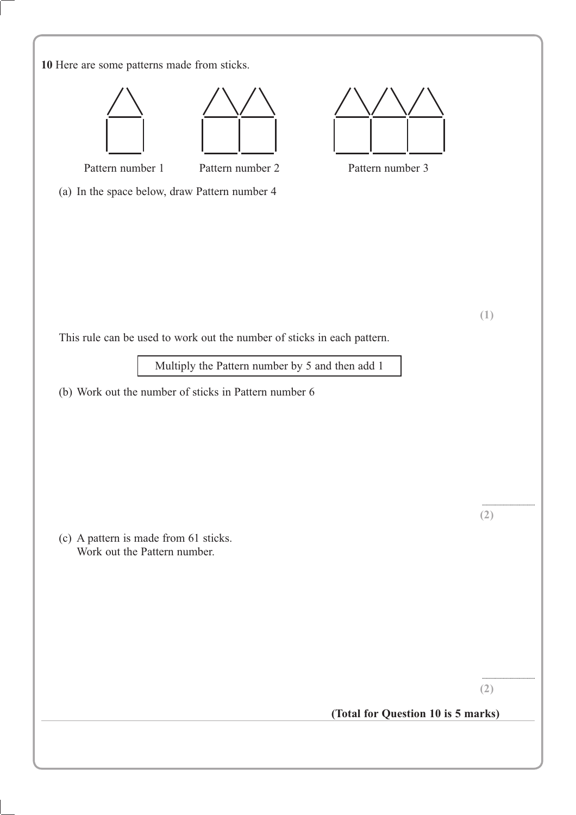| 10 Here are some patterns made from sticks.                                                                                                                                         |     |
|-------------------------------------------------------------------------------------------------------------------------------------------------------------------------------------|-----|
| Pattern number 1<br>Pattern number 2<br>Pattern number 3<br>(a) In the space below, draw Pattern number 4                                                                           |     |
| This rule can be used to work out the number of sticks in each pattern.<br>Multiply the Pattern number by 5 and then add 1<br>(b) Work out the number of sticks in Pattern number 6 | (1) |
| (c) A pattern is made from 61 sticks.<br>Work out the Pattern number.                                                                                                               | (2) |
| (Total for Question 10 is 5 marks)                                                                                                                                                  | (2) |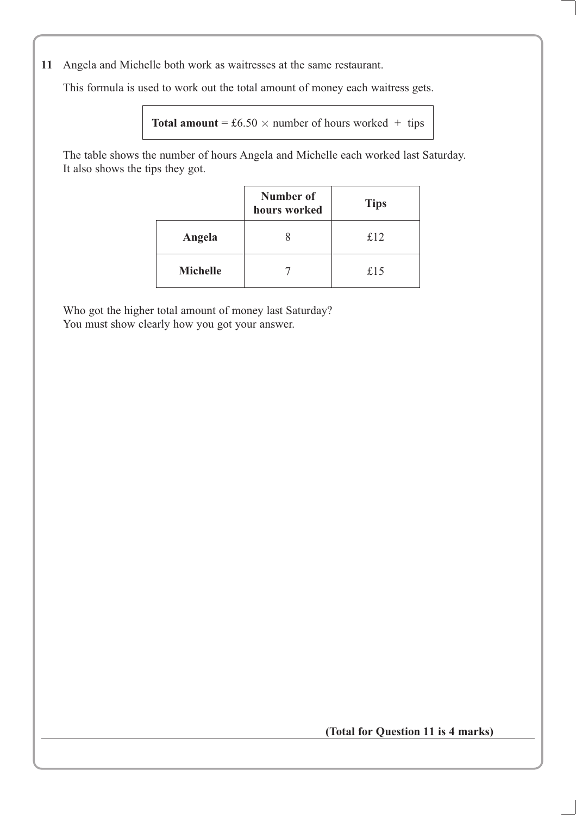**11** Angela and Michelle both work as waitresses at the same restaurant.

This formula is used to work out the total amount of money each waitress gets.

```
Total amount = £6.50 \times number of hours worked + tips
```
The table shows the number of hours Angela and Michelle each worked last Saturday. It also shows the tips they got.

|                 | Number of<br>hours worked | <b>Tips</b> |
|-----------------|---------------------------|-------------|
| Angela          |                           | £12         |
| <b>Michelle</b> |                           | £15         |

Who got the higher total amount of money last Saturday? You must show clearly how you got your answer.

**(Total for Question 11 is 4 marks)**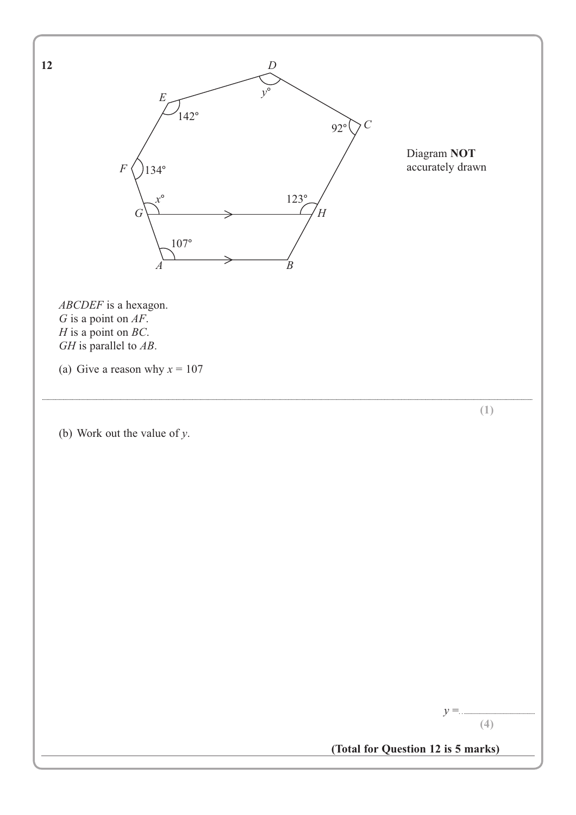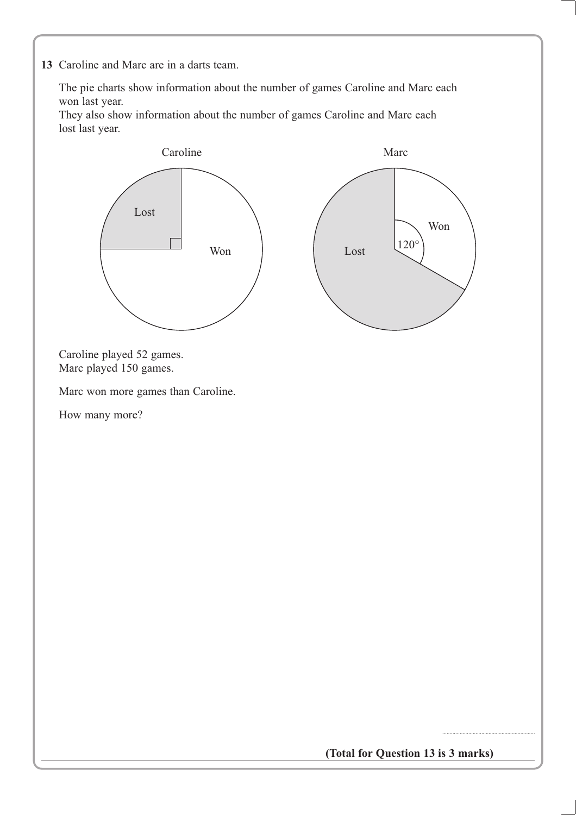**13** Caroline and Marc are in a darts team.

The pie charts show information about the number of games Caroline and Marc each won last year.

They also show information about the number of games Caroline and Marc each lost last year.



**(Total for Question 13 is 3 marks)**

................................................................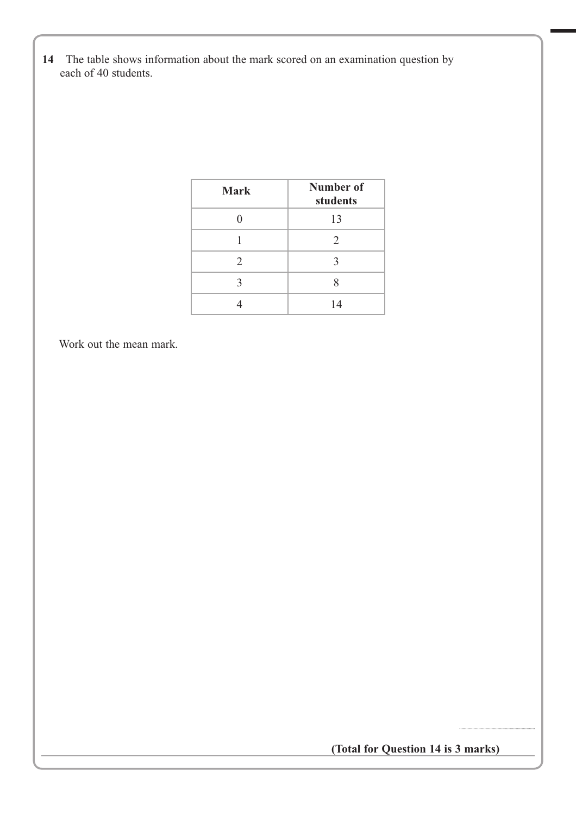**14** The table shows information about the mark scored on an examination question by each of 40 students.

| <b>Mark</b>    | Number of<br>students |
|----------------|-----------------------|
|                | 13                    |
|                | $\overline{2}$        |
| $\mathfrak{D}$ | κ                     |
| 2              | Q                     |
|                | 14                    |

Work out the mean mark.

**(Total for Question 14 is 3 marks)**

...............................................................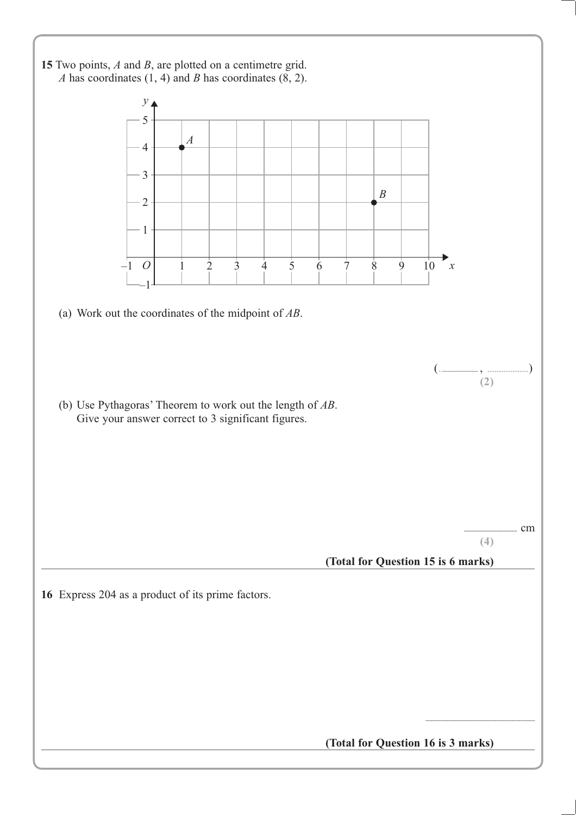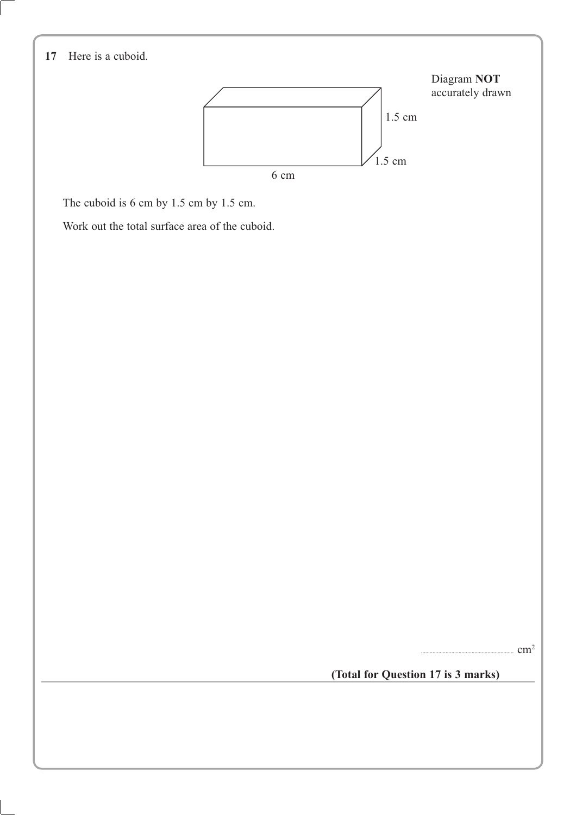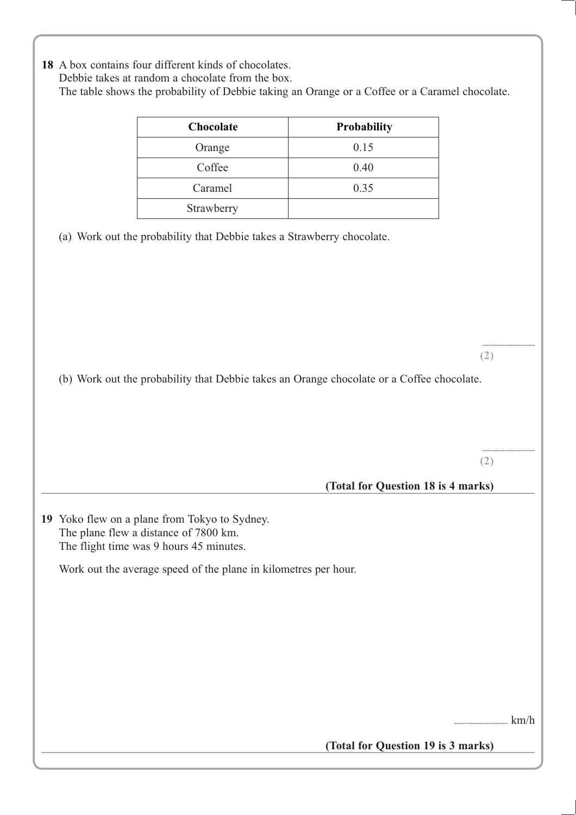| Chocolate                                                                                                                         | Probability                        |     |
|-----------------------------------------------------------------------------------------------------------------------------------|------------------------------------|-----|
| Orange                                                                                                                            | 0.15                               |     |
| Coffee                                                                                                                            | 0.40                               |     |
| Caramel                                                                                                                           | 0.35                               |     |
| Strawberry                                                                                                                        |                                    |     |
|                                                                                                                                   |                                    |     |
| (b) Work out the probability that Debbie takes an Orange chocolate or a Coffee chocolate.                                         |                                    | (2) |
|                                                                                                                                   |                                    | (2) |
| 19 Yoko flew on a plane from Tokyo to Sydney.<br>The plane flew a distance of 7800 km.<br>The flight time was 9 hours 45 minutes. | (Total for Question 18 is 4 marks) |     |
| Work out the average speed of the plane in kilometres per hour.                                                                   |                                    |     |
|                                                                                                                                   |                                    |     |
|                                                                                                                                   |                                    |     |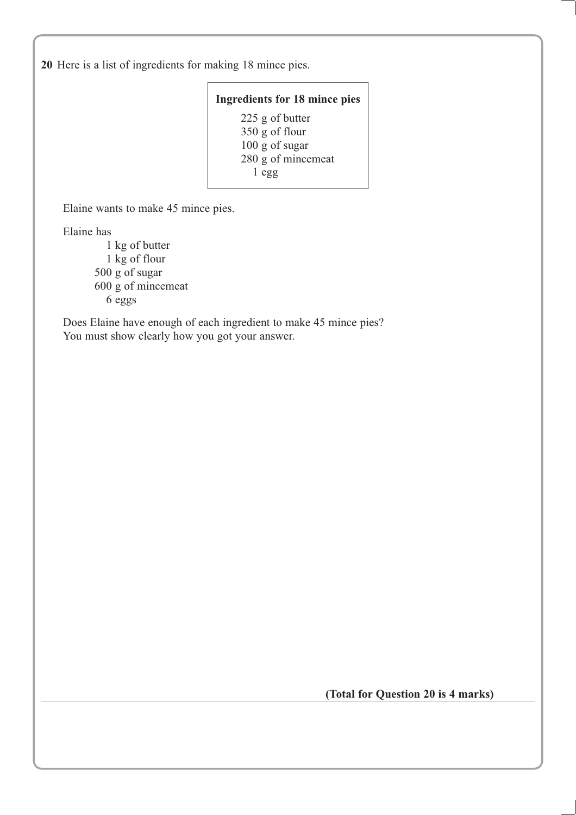**20** Here is a list of ingredients for making 18 mince pies.

### **Ingredients for 18 mince pies**

225 g of butter 350 g of flour 100 g of sugar 280 g of mincemeat 1 egg

Elaine wants to make 45 mince pies.

Elaine has

1 kg of butter 1 kg of flour 500 g of sugar 600 g of mincemeat 6 eggs

Does Elaine have enough of each ingredient to make 45 mince pies? You must show clearly how you got your answer.

**(Total for Question 20 is 4 marks)**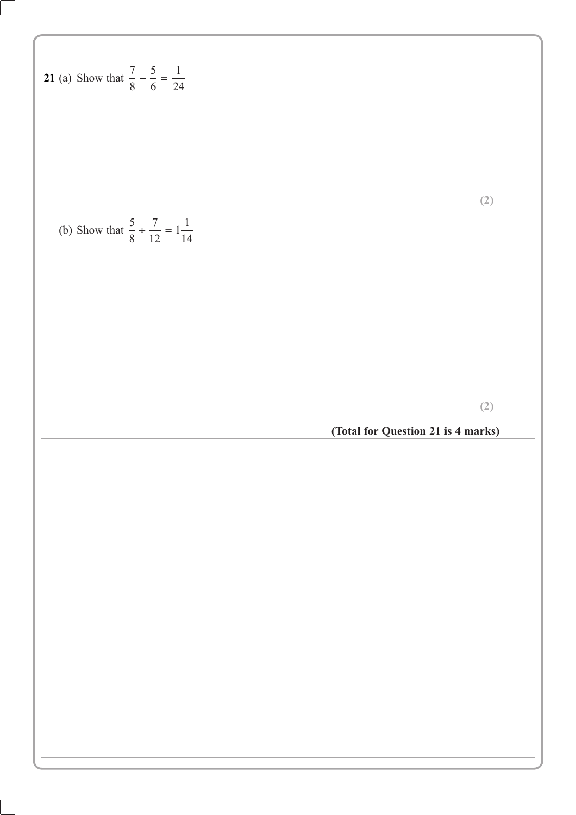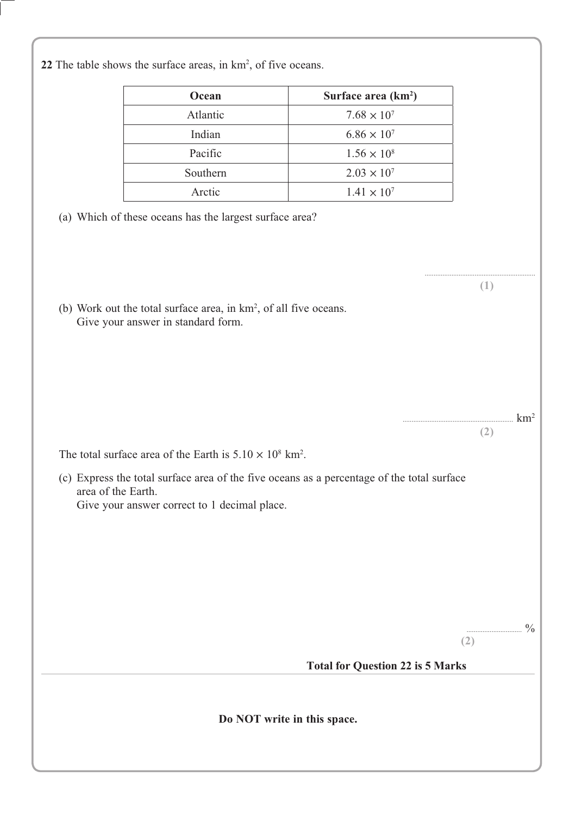| 22 The table shows the surface areas, in km <sup>2</sup> , of five oceans. |  |
|----------------------------------------------------------------------------|--|
|----------------------------------------------------------------------------|--|

| Ocean    | Surface area $(km^2)$ |
|----------|-----------------------|
| Atlantic | $7.68 \times 10^{7}$  |
| Indian   | $6.86 \times 10^{7}$  |
| Pacific  | $1.56 \times 10^8$    |
| Southern | $2.03 \times 10^{7}$  |
| Arctic   | $1.41 \times 10^{7}$  |

- (a) Which of these oceans has the largest surface area?
- (b) Work out the total surface area, in  $km^2$ , of all five oceans. Give your answer in standard form.

The total surface area of the Earth is  $5.10 \times 10^8$  km<sup>2</sup>.

(c) Express the total surface area of the five oceans as a percentage of the total surface area of the Earth. Give your answer correct to 1 decimal place.

 $\frac{0}{0}$ 

(((((((((((((((((((((((((((((((((((((((((((((((((((((((((((((( NP

(((((((((((((((((((((((((((((((((((((((((((((((((((((((((((((( 

#### **Total for Question 22 is 5 Marks**

Do NOT write in this space.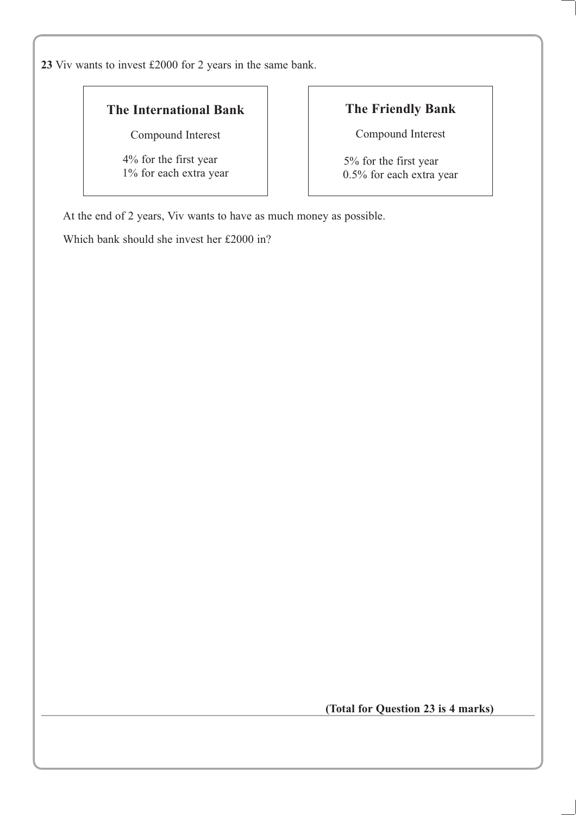**23** Viv wants to invest £2000 for 2 years in the same bank.

### **The International Bank**

Compound Interest

4% for the first year 1% for each extra year

## **The Friendly Bank**

Compound Interest

5% for the first year 0.5% for each extra year

At the end of 2 years, Viv wants to have as much money as possible.

Which bank should she invest her £2000 in?

**(Total for Question 23 is 4 marks)**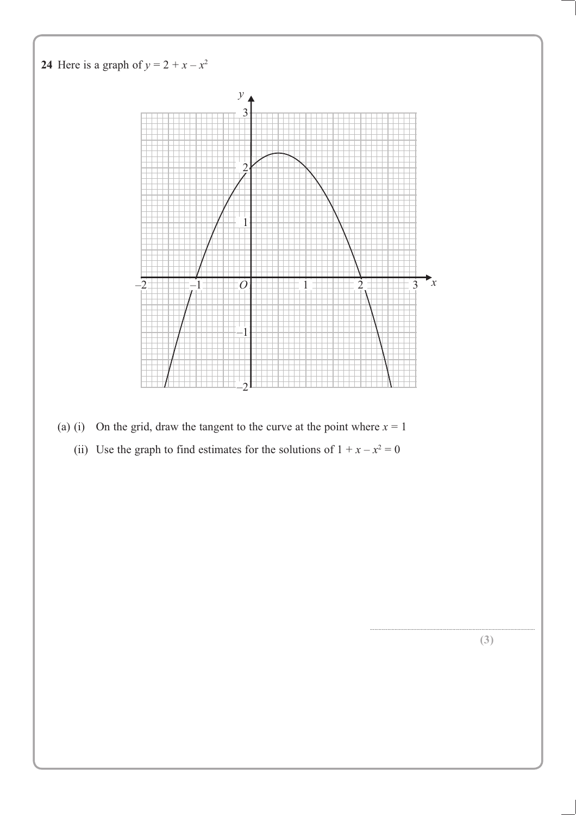